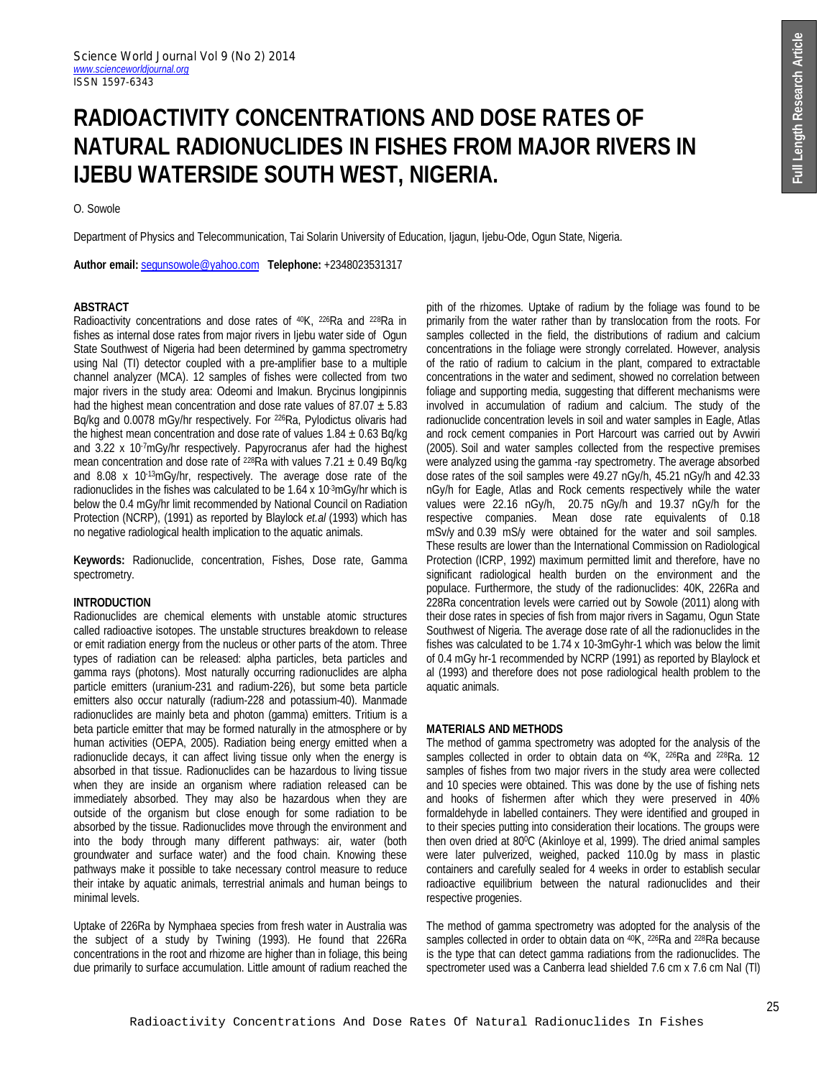# **RADIOACTIVITY CONCENTRATIONS AND DOSE RATES OF NATURAL RADIONUCLIDES IN FISHES FROM MAJOR RIVERS IN IJEBU WATERSIDE SOUTH WEST, NIGERIA.**

O. Sowole

Department of Physics and Telecommunication, Tai Solarin University of Education, Ijagun, Ijebu-Ode, Ogun State, Nigeria.

**Author email:** segunsowole@yahoo.com **Telephone:** +2348023531317

## **ABSTRACT**

Radioactivity concentrations and dose rates of 40K, 226Ra and 228Ra in fishes as internal dose rates from major rivers in Ijebu water side of Ogun State Southwest of Nigeria had been determined by gamma spectrometry using NaI (TI) detector coupled with a pre-amplifier base to a multiple channel analyzer (MCA). 12 samples of fishes were collected from two major rivers in the study area: Odeomi and Imakun. Brycinus longipinnis had the highest mean concentration and dose rate values of  $87.07 \pm 5.83$ Bq/kg and 0.0078 mGy/hr respectively. For <sup>226</sup>Ra, Pylodictus olivaris had the highest mean concentration and dose rate of values  $1.84 \pm 0.63$  Bq/kg and 3.22 x 10<sup>-7</sup>mGy/hr respectively. Papyrocranus afer had the highest mean concentration and dose rate of <sup>228</sup>Ra with values  $7.21 \pm 0.49$  Bq/kg and 8.08 x 10-13mGy/hr, respectively. The average dose rate of the radionuclides in the fishes was calculated to be 1.64 x 10-3mGy/hr which is below the 0.4 mGy/hr limit recommended by National Council on Radiation Protection (NCRP), (1991) as reported by Blaylock *et.al* (1993) which has no negative radiological health implication to the aquatic animals.

**Keywords:** Radionuclide, concentration, Fishes, Dose rate, Gamma spectrometry.

## **INTRODUCTION**

Radionuclides are chemical elements with unstable atomic structures called radioactive isotopes. The unstable structures breakdown to release or emit radiation energy from the nucleus or other parts of the atom. Three types of radiation can be released: alpha particles, beta particles and gamma rays (photons). Most naturally occurring radionuclides are alpha particle emitters (uranium-231 and radium-226), but some beta particle emitters also occur naturally (radium-228 and potassium-40). Manmade radionuclides are mainly beta and photon (gamma) emitters. Tritium is a beta particle emitter that may be formed naturally in the atmosphere or by human activities (OEPA, 2005). Radiation being energy emitted when a radionuclide decays, it can affect living tissue only when the energy is absorbed in that tissue. Radionuclides can be hazardous to living tissue when they are inside an organism where radiation released can be immediately absorbed. They may also be hazardous when they are outside of the organism but close enough for some radiation to be absorbed by the tissue. Radionuclides move through the environment and into the body through many different pathways: air, water (both groundwater and surface water) and the food chain. Knowing these pathways make it possible to take necessary control measure to reduce their intake by aquatic animals, terrestrial animals and human beings to minimal levels.

Uptake of 226Ra by Nymphaea species from fresh water in Australia was the subject of a study by Twining (1993). He found that 226Ra concentrations in the root and rhizome are higher than in foliage, this being due primarily to surface accumulation. Little amount of radium reached the pith of the rhizomes. Uptake of radium by the foliage was found to be primarily from the water rather than by translocation from the roots. For samples collected in the field, the distributions of radium and calcium concentrations in the foliage were strongly correlated. However, analysis of the ratio of radium to calcium in the plant, compared to extractable concentrations in the water and sediment, showed no correlation between foliage and supporting media, suggesting that different mechanisms were involved in accumulation of radium and calcium. The study of the radionuclide concentration levels in soil and water samples in Eagle, Atlas and rock cement companies in Port Harcourt was carried out by Avwiri (2005). Soil and water samples collected from the respective premises were analyzed using the gamma -ray spectrometry. The average absorbed dose rates of the soil samples were 49.27 nGy/h, 45.21 nGy/h and 42.33 nGy/h for Eagle, Atlas and Rock cements respectively while the water values were 22.16 nGy/h, 20.75 nGy/h and 19.37 nGy/h for the respective companies. Mean dose rate equivalents of 0.18 mSv/y and 0.39 mS/y were obtained for the water and soil samples. These results are lower than the International Commission on Radiological Protection (ICRP, 1992) maximum permitted limit and therefore, have no significant radiological health burden on the environment and the populace. Furthermore, the study of the radionuclides: 40K, 226Ra and 228Ra concentration levels were carried out by Sowole (2011) along with their dose rates in species of fish from major rivers in Sagamu, Ogun State Southwest of Nigeria. The average dose rate of all the radionuclides in the fishes was calculated to be 1.74 x 10-3mGyhr-1 which was below the limit of 0.4 mGy hr-1 recommended by NCRP (1991) as reported by Blaylock et al (1993) and therefore does not pose radiological health problem to the aquatic animals.

## **MATERIALS AND METHODS**

The method of gamma spectrometry was adopted for the analysis of the samples collected in order to obtain data on <sup>40</sup>K, <sup>226</sup>Ra and <sup>228</sup>Ra. 12 samples of fishes from two major rivers in the study area were collected and 10 species were obtained. This was done by the use of fishing nets and hooks of fishermen after which they were preserved in 40% formaldehyde in labelled containers. They were identified and grouped in to their species putting into consideration their locations. The groups were then oven dried at 800C (Akinloye et al, 1999). The dried animal samples were later pulverized, weighed, packed 110.0g by mass in plastic containers and carefully sealed for 4 weeks in order to establish secular radioactive equilibrium between the natural radionuclides and their respective progenies.

The method of gamma spectrometry was adopted for the analysis of the samples collected in order to obtain data on <sup>40</sup>K, <sup>226</sup>Ra and <sup>228</sup>Ra because is the type that can detect gamma radiations from the radionuclides. The spectrometer used was a Canberra lead shielded 7.6 cm x 7.6 cm NaI (Tl)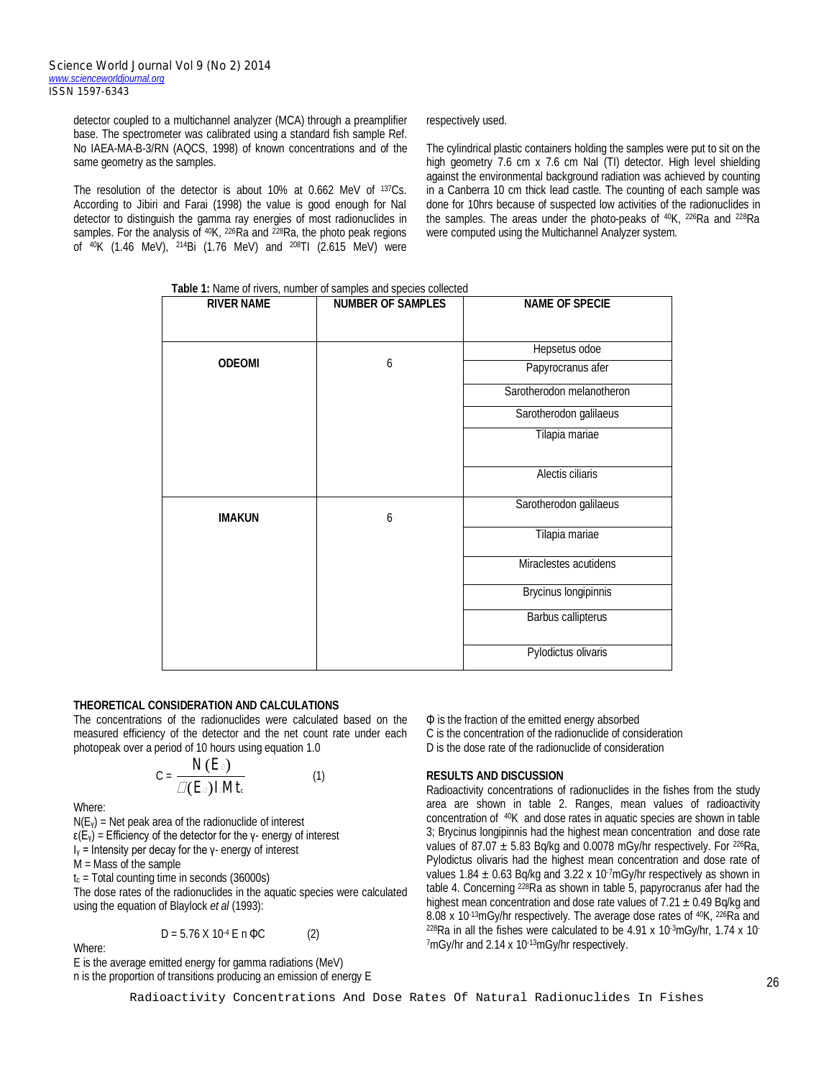detector coupled to a multichannel analyzer (MCA) through a preamplifier base. The spectrometer was calibrated using a standard fish sample Ref. No IAEA-MA-B-3/RN (AQCS, 1998) of known concentrations and of the same geometry as the samples.

The resolution of the detector is about 10% at 0.662 MeV of 137Cs. According to Jibiri and Farai (1998) the value is good enough for NaI detector to distinguish the gamma ray energies of most radionuclides in samples. For the analysis of 40K, 226Ra and 228Ra, the photo peak regions of 40K (1.46 MeV), 214Bi (1.76 MeV) and 208TI (2.615 MeV) were respectively used.

The cylindrical plastic containers holding the samples were put to sit on the high geometry 7.6 cm x 7.6 cm NaI (TI) detector. High level shielding against the environmental background radiation was achieved by counting in a Canberra 10 cm thick lead castle. The counting of each sample was done for 10hrs because of suspected low activities of the radionuclides in the samples. The areas under the photo-peaks of 40K, 226Ra and 228Ra were computed using the Multichannel Analyzer system.

**Table 1:** Name of rivers, number of samples and species collected

| <b>RIVER NAME</b> | <b>NUMBER OF SAMPLES</b> | <b>NAME OF SPECIE</b>       |  |
|-------------------|--------------------------|-----------------------------|--|
|                   |                          |                             |  |
|                   |                          | Hepsetus odoe               |  |
| <b>ODEOMI</b>     | 6                        | Papyrocranus afer           |  |
|                   |                          | Sarotherodon melanotheron   |  |
|                   |                          | Sarotherodon galilaeus      |  |
|                   |                          | Tilapia mariae              |  |
|                   |                          | Alectis ciliaris            |  |
| <b>IMAKUN</b>     | 6                        | Sarotherodon galilaeus      |  |
|                   |                          | Tilapia mariae              |  |
|                   |                          | Miraclestes acutidens       |  |
|                   |                          | <b>Brycinus longipinnis</b> |  |
|                   |                          | Barbus callipterus          |  |
|                   |                          | Pylodictus olivaris         |  |

## **THEORETICAL CONSIDERATION AND CALCULATIONS**

The concentrations of the radionuclides were calculated based on the measured efficiency of the detector and the net count rate under each photopeak over a period of 10 hours using equation 1.0

$$
C = \frac{N(E_{\rm D})}{\mathcal{L}(E_{\rm D})I M t_{\rm c}} \tag{1}
$$

Where:

 $N(E_y)$  = Net peak area of the radionuclide of interest

 $ε(E<sub>v</sub>)$  = Efficiency of the detector for the γ- energy of interest

I<sup>γ</sup> = Intensity per decay for the γ- energy of interest

M = Mass of the sample

 $t_c$  = Total counting time in seconds (36000s)

The dose rates of the radionuclides in the aquatic species were calculated using the equation of Blaylock *et al* (1993):

 $D = 5.76$  X 10<sup>-4</sup> E n  $\Phi C$  (2)

Where:

E is the average emitted energy for gamma radiations (MeV) n is the proportion of transitions producing an emission of energy E Φ is the fraction of the emitted energy absorbed C is the concentration of the radionuclide of consideration D is the dose rate of the radionuclide of consideration

## **RESULTS AND DISCUSSION**

Radioactivity concentrations of radionuclides in the fishes from the study area are shown in table 2. Ranges, mean values of radioactivity concentration of 40K and dose rates in aquatic species are shown in table 3; Brycinus longipinnis had the highest mean concentration and dose rate values of 87.07  $\pm$  5.83 Bq/kg and 0.0078 mGy/hr respectively. For <sup>226</sup>Ra, Pylodictus olivaris had the highest mean concentration and dose rate of values 1.84  $\pm$  0.63 Bq/kg and 3.22 x 10<sup>-7</sup>mGy/hr respectively as shown in table 4. Concerning 228Ra as shown in table 5, papyrocranus afer had the highest mean concentration and dose rate values of  $7.21 \pm 0.49$  Bg/kg and 8.08 x 10<sup>-13</sup>mGy/hr respectively. The average dose rates of <sup>40</sup>K, <sup>226</sup>Ra and  $228$ Ra in all the fishes were calculated to be 4.91 x 10 $\cdot$ 3mGy/hr, 1.74 x 10 $\cdot$ 7mGy/hr and 2.14 x 10<sup>-13</sup>mGy/hr respectively.

Radioactivity Concentrations And Dose Rates Of Natural Radionuclides In Fishes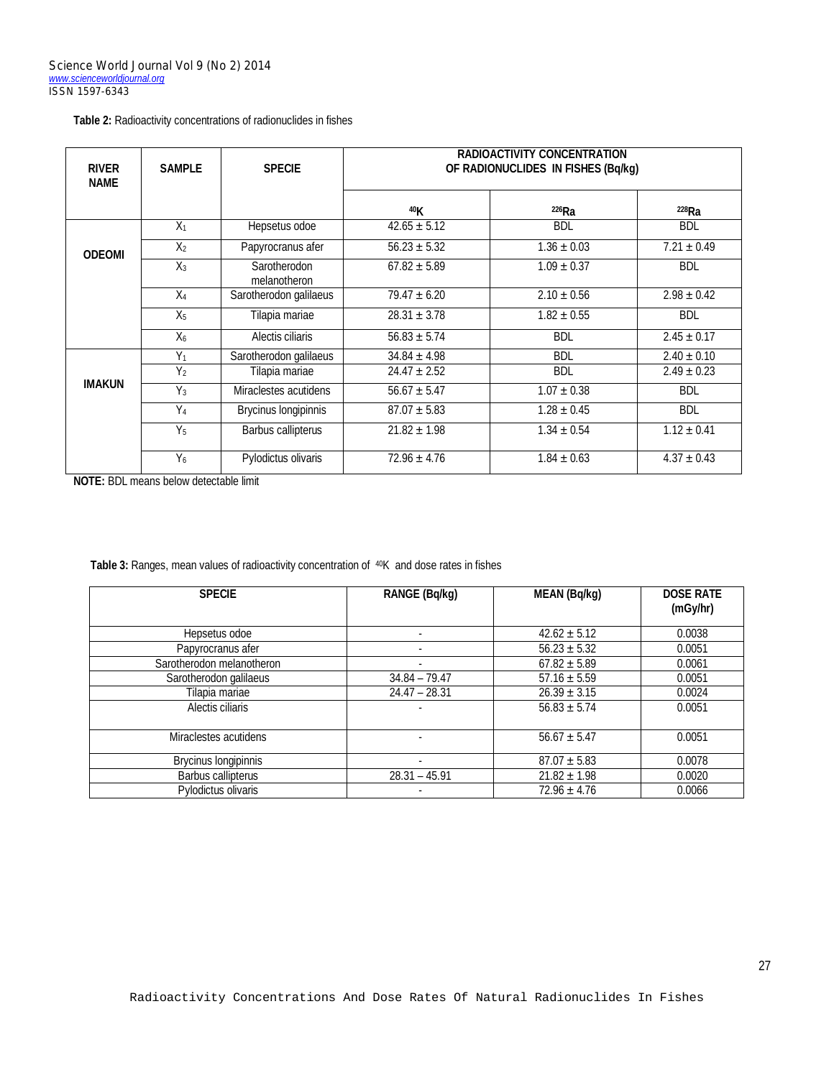| Table 2: Radioactivity concentrations of radionuclides in fishes |  |  |  |
|------------------------------------------------------------------|--|--|--|
|------------------------------------------------------------------|--|--|--|

| <b>RIVER</b><br><b>NAME</b> | <b>SAMPLE</b>    | <b>SPECIE</b>                | <b>RADIOACTIVITY CONCENTRATION</b><br>OF RADIONUCLIDES IN FISHES (Bq/kg) |                 |                 |
|-----------------------------|------------------|------------------------------|--------------------------------------------------------------------------|-----------------|-----------------|
|                             |                  |                              | 40K                                                                      | $226$ Ra        | 228Ra           |
|                             | $X_1$            | Hepsetus odoe                | $42.65 \pm 5.12$                                                         | <b>BDL</b>      | <b>BDL</b>      |
| <b>ODEOMI</b>               | X <sub>2</sub>   | Papyrocranus afer            | $56.23 \pm 5.32$                                                         | $1.36 \pm 0.03$ | $7.21 \pm 0.49$ |
|                             | $X_3$            | Sarotherodon<br>melanotheron | $67.82 \pm 5.89$                                                         | $1.09 \pm 0.37$ | <b>BDL</b>      |
|                             | $X_4$            | Sarotherodon galilaeus       | $79.47 \pm 6.20$                                                         | $2.10 \pm 0.56$ | $2.98 \pm 0.42$ |
|                             | X <sub>5</sub>   | Tilapia mariae               | $28.31 \pm 3.78$                                                         | $1.82 \pm 0.55$ | <b>BDL</b>      |
|                             | $X_6$            | Alectis ciliaris             | $56.83 \pm 5.74$                                                         | <b>BDL</b>      | $2.45 \pm 0.17$ |
|                             | $Y_1$            | Sarotherodon galilaeus       | $34.84 \pm 4.98$                                                         | <b>BDL</b>      | $2.40 \pm 0.10$ |
| <b>IMAKUN</b>               | $\overline{Y_2}$ | Tilapia mariae               | $24.47 \pm 2.52$                                                         | <b>BDL</b>      | $2.49 \pm 0.23$ |
|                             | $Y_3$            | Miraclestes acutidens        | $56.67 \pm 5.47$                                                         | $1.07 \pm 0.38$ | <b>BDL</b>      |
|                             | $Y_4$            | Brycinus longipinnis         | $87.07 \pm 5.83$                                                         | $1.28 \pm 0.45$ | <b>BDL</b>      |
|                             | $Y_5$            | Barbus callipterus           | $21.82 \pm 1.98$                                                         | $1.34 \pm 0.54$ | $1.12 \pm 0.41$ |
|                             | $Y_6$            | Pylodictus olivaris          | $72.96 \pm 4.76$                                                         | $1.84 \pm 0.63$ | $4.37 \pm 0.43$ |

**NOTE:** BDL means below detectable limit

Table 3: Ranges, mean values of radioactivity concentration of <sup>40</sup>K and dose rates in fishes

| <b>SPECIE</b>               | RANGE (Bq/kg)            | <b>MEAN (Bq/kg)</b> | <b>DOSE RATE</b><br>(mGy/hr) |
|-----------------------------|--------------------------|---------------------|------------------------------|
| Hepsetus odoe               |                          | $42.62 \pm 5.12$    | 0.0038                       |
| Papyrocranus afer           | $\overline{\phantom{a}}$ | $56.23 \pm 5.32$    | 0.0051                       |
| Sarotherodon melanotheron   |                          | $67.82 \pm 5.89$    | 0.0061                       |
| Sarotherodon galilaeus      | $34.84 - 79.47$          | $57.16 \pm 5.59$    | 0.0051                       |
| Tilapia mariae              | $24.47 - 28.31$          | $26.39 \pm 3.15$    | 0.0024                       |
| Alectis ciliaris            |                          | $56.83 \pm 5.74$    | 0.0051                       |
| Miraclestes acutidens       |                          | $56.67 \pm 5.47$    | 0.0051                       |
| <b>Brycinus longipinnis</b> |                          | $87.07 \pm 5.83$    | 0.0078                       |
| Barbus callipterus          | $28.31 - 45.91$          | $21.82 \pm 1.98$    | 0.0020                       |
| Pylodictus olivaris         |                          | $72.96 \pm 4.76$    | 0.0066                       |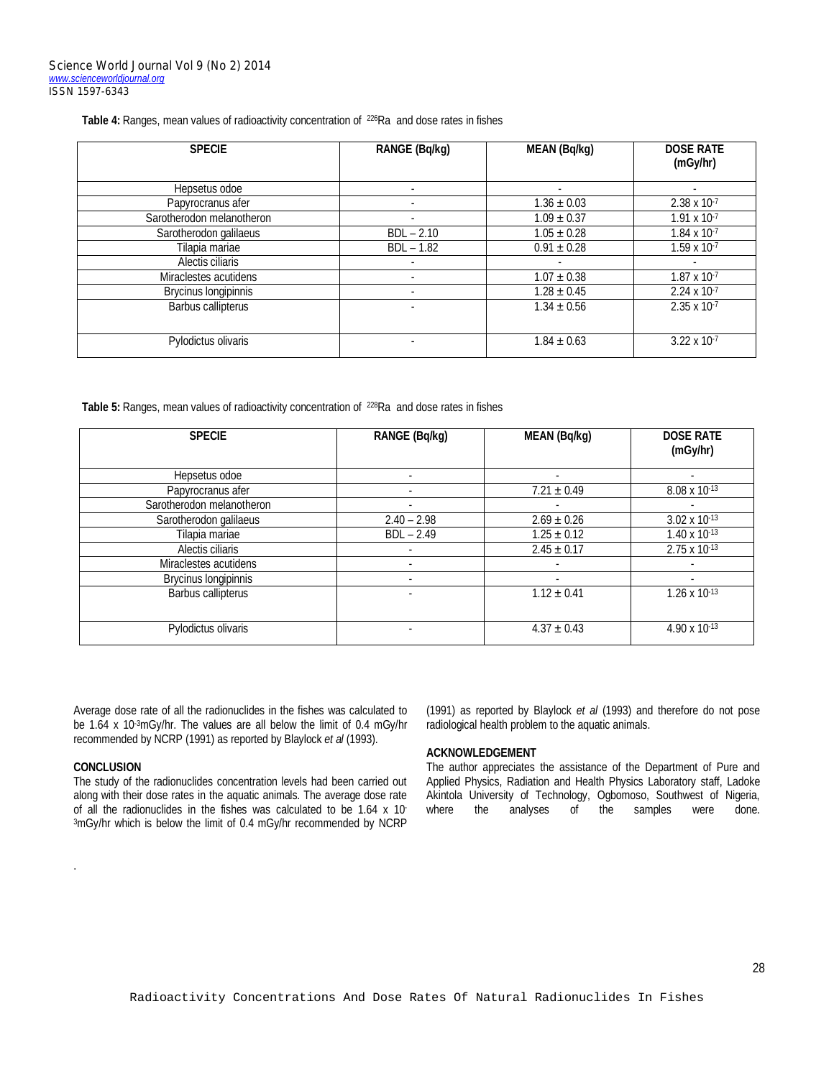Table 4: Ranges, mean values of radioactivity concentration of <sup>226</sup>Ra and dose rates in fishes

| <b>SPECIE</b>               | <b>RANGE (Bq/kg)</b> | <b>MEAN (Bq/kg)</b>        | <b>DOSE RATE</b><br>(mGy/hr) |
|-----------------------------|----------------------|----------------------------|------------------------------|
| Hepsetus odoe               |                      |                            |                              |
| Papyrocranus afer           |                      | $1.36 \pm 0.03$            | $2.38 \times 10^{-7}$        |
| Sarotherodon melanotheron   |                      | $1.09 \pm 0.37$            | $1.91 \times 10^{-7}$        |
| Sarotherodon galilaeus      | $BDL - 2.10$         | $1.05 \pm 0.28$            | $1.84 \times 10^{-7}$        |
| Tilapia mariae              | $BDL - 1.82$         | $0.91 \pm 0.28$            | $1.59 \times 10^{-7}$        |
| Alectis ciliaris            |                      |                            |                              |
| Miraclestes acutidens       |                      | $\overline{1.07} \pm 0.38$ | $1.87 \times 10^{-7}$        |
| <b>Brycinus longipinnis</b> |                      | $1.28 \pm 0.45$            | $2.24 \times 10^{-7}$        |
| Barbus callipterus          |                      | $1.34 \pm 0.56$            | $2.35 \times 10^{-7}$        |
| Pylodictus olivaris         |                      | $1.84 \pm 0.63$            | $3.22 \times 10^{-7}$        |

Table 5: Ranges, mean values of radioactivity concentration of <sup>228</sup>Ra and dose rates in fishes

| <b>SPECIE</b>             | <b>RANGE (Bq/kg)</b> | <b>MEAN (Bq/kg)</b> | <b>DOSE RATE</b><br>(mGy/hr) |
|---------------------------|----------------------|---------------------|------------------------------|
| Hepsetus odoe             |                      | ٠                   |                              |
| Papyrocranus afer         |                      | $7.21 \pm 0.49$     | 8.08 x 10-13                 |
| Sarotherodon melanotheron |                      |                     |                              |
| Sarotherodon galilaeus    | $2.40 - 2.98$        | $2.69 \pm 0.26$     | $3.02 \times 10^{-13}$       |
| Tilapia mariae            | $BDL - 2.49$         | $1.25 \pm 0.12$     | $1.40 \times 10^{-13}$       |
| Alectis ciliaris          |                      | $2.45 \pm 0.17$     | $2.75 \times 10^{-13}$       |
| Miraclestes acutidens     |                      |                     |                              |
| Brycinus longipinnis      |                      | ۰                   | $\overline{a}$               |
| Barbus callipterus        |                      | $1.12 \pm 0.41$     | $1.26 \times 10^{-13}$       |
| Pylodictus olivaris       |                      | $4.37 \pm 0.43$     | 4.90 x 10-13                 |

Average dose rate of all the radionuclides in the fishes was calculated to be 1.64 x 10-3mGy/hr. The values are all below the limit of 0.4 mGy/hr recommended by NCRP (1991) as reported by Blaylock *et al* (1993).

## **CONCLUSION**

.

The study of the radionuclides concentration levels had been carried out along with their dose rates in the aquatic animals. The average dose rate of all the radionuclides in the fishes was calculated to be 1.64 x 10- 3mGy/hr which is below the limit of 0.4 mGy/hr recommended by NCRP (1991) as reported by Blaylock *et al* (1993) and therefore do not pose radiological health problem to the aquatic animals.

#### **ACKNOWLEDGEMENT**

The author appreciates the assistance of the Department of Pure and Applied Physics, Radiation and Health Physics Laboratory staff, Ladoke Akintola University of Technology, Ogbomoso, Southwest of Nigeria,<br>where the analyses of the samples were done. of the